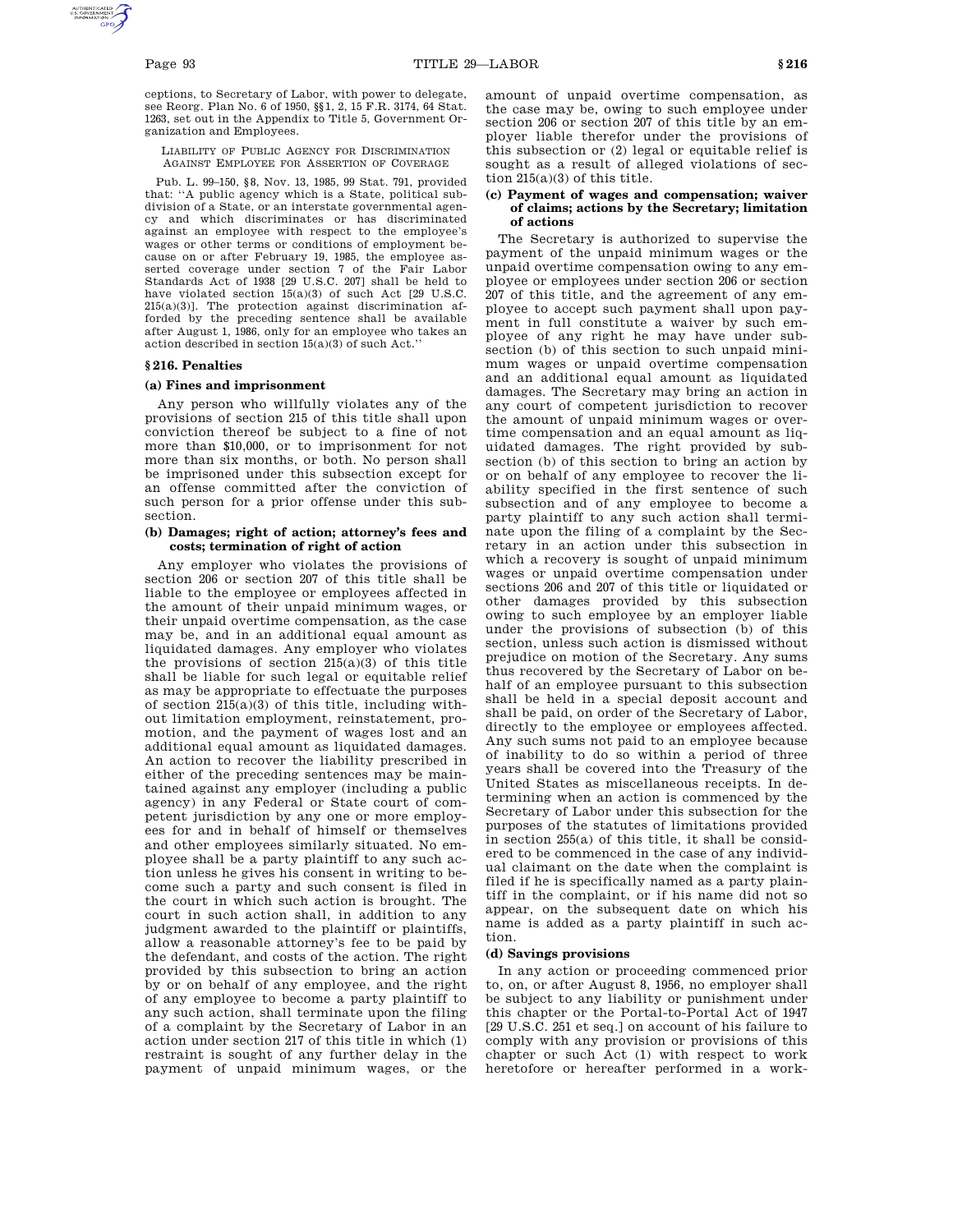ceptions, to Secretary of Labor, with power to delegate, see Reorg. Plan No. 6 of 1950, §§1, 2, 15 F.R. 3174, 64 Stat. 1263, set out in the Appendix to Title 5, Government Organization and Employees.

LIABILITY OF PUBLIC AGENCY FOR DISCRIMINATION AGAINST EMPLOYEE FOR ASSERTION OF COVERAGE

Pub. L. 99–150, §8, Nov. 13, 1985, 99 Stat. 791, provided that: ''A public agency which is a State, political subdivision of a State, or an interstate governmental agency and which discriminates or has discriminated against an employee with respect to the employee's wages or other terms or conditions of employment because on or after February 19, 1985, the employee asserted coverage under section 7 of the Fair Labor Standards Act of 1938 [29 U.S.C. 207] shall be held to have violated section 15(a)(3) of such Act [29 U.S.C. 215(a)(3)]. The protection against discrimination afforded by the preceding sentence shall be available after August 1, 1986, only for an employee who takes an action described in section 15(a)(3) of such Act.''

# **§ 216. Penalties**

# **(a) Fines and imprisonment**

Any person who willfully violates any of the provisions of section 215 of this title shall upon conviction thereof be subject to a fine of not more than \$10,000, or to imprisonment for not more than six months, or both. No person shall be imprisoned under this subsection except for an offense committed after the conviction of such person for a prior offense under this subsection.

## **(b) Damages; right of action; attorney's fees and costs; termination of right of action**

Any employer who violates the provisions of section 206 or section 207 of this title shall be liable to the employee or employees affected in the amount of their unpaid minimum wages, or their unpaid overtime compensation, as the case may be, and in an additional equal amount as liquidated damages. Any employer who violates the provisions of section  $215(a)(3)$  of this title shall be liable for such legal or equitable relief as may be appropriate to effectuate the purposes of section 215(a)(3) of this title, including without limitation employment, reinstatement, promotion, and the payment of wages lost and an additional equal amount as liquidated damages. An action to recover the liability prescribed in either of the preceding sentences may be maintained against any employer (including a public agency) in any Federal or State court of competent jurisdiction by any one or more employees for and in behalf of himself or themselves and other employees similarly situated. No employee shall be a party plaintiff to any such action unless he gives his consent in writing to become such a party and such consent is filed in the court in which such action is brought. The court in such action shall, in addition to any judgment awarded to the plaintiff or plaintiffs, allow a reasonable attorney's fee to be paid by the defendant, and costs of the action. The right provided by this subsection to bring an action by or on behalf of any employee, and the right of any employee to become a party plaintiff to any such action, shall terminate upon the filing of a complaint by the Secretary of Labor in an action under section 217 of this title in which (1) restraint is sought of any further delay in the payment of unpaid minimum wages, or the

amount of unpaid overtime compensation, as the case may be, owing to such employee under section 206 or section 207 of this title by an employer liable therefor under the provisions of this subsection or (2) legal or equitable relief is sought as a result of alleged violations of section 215(a)(3) of this title.

## **(c) Payment of wages and compensation; waiver of claims; actions by the Secretary; limitation of actions**

The Secretary is authorized to supervise the payment of the unpaid minimum wages or the unpaid overtime compensation owing to any employee or employees under section 206 or section 207 of this title, and the agreement of any employee to accept such payment shall upon payment in full constitute a waiver by such employee of any right he may have under subsection (b) of this section to such unpaid minimum wages or unpaid overtime compensation and an additional equal amount as liquidated damages. The Secretary may bring an action in any court of competent jurisdiction to recover the amount of unpaid minimum wages or overtime compensation and an equal amount as liquidated damages. The right provided by subsection (b) of this section to bring an action by or on behalf of any employee to recover the liability specified in the first sentence of such subsection and of any employee to become a party plaintiff to any such action shall terminate upon the filing of a complaint by the Secretary in an action under this subsection in which a recovery is sought of unpaid minimum wages or unpaid overtime compensation under sections 206 and 207 of this title or liquidated or other damages provided by this subsection owing to such employee by an employer liable under the provisions of subsection (b) of this section, unless such action is dismissed without prejudice on motion of the Secretary. Any sums thus recovered by the Secretary of Labor on behalf of an employee pursuant to this subsection shall be held in a special deposit account and shall be paid, on order of the Secretary of Labor, directly to the employee or employees affected. Any such sums not paid to an employee because of inability to do so within a period of three years shall be covered into the Treasury of the United States as miscellaneous receipts. In determining when an action is commenced by the Secretary of Labor under this subsection for the purposes of the statutes of limitations provided in section 255(a) of this title, it shall be considered to be commenced in the case of any individual claimant on the date when the complaint is filed if he is specifically named as a party plaintiff in the complaint, or if his name did not so appear, on the subsequent date on which his name is added as a party plaintiff in such action.

# **(d) Savings provisions**

In any action or proceeding commenced prior to, on, or after August 8, 1956, no employer shall be subject to any liability or punishment under this chapter or the Portal-to-Portal Act of 1947 [29 U.S.C. 251 et seq.] on account of his failure to comply with any provision or provisions of this chapter or such Act (1) with respect to work heretofore or hereafter performed in a work-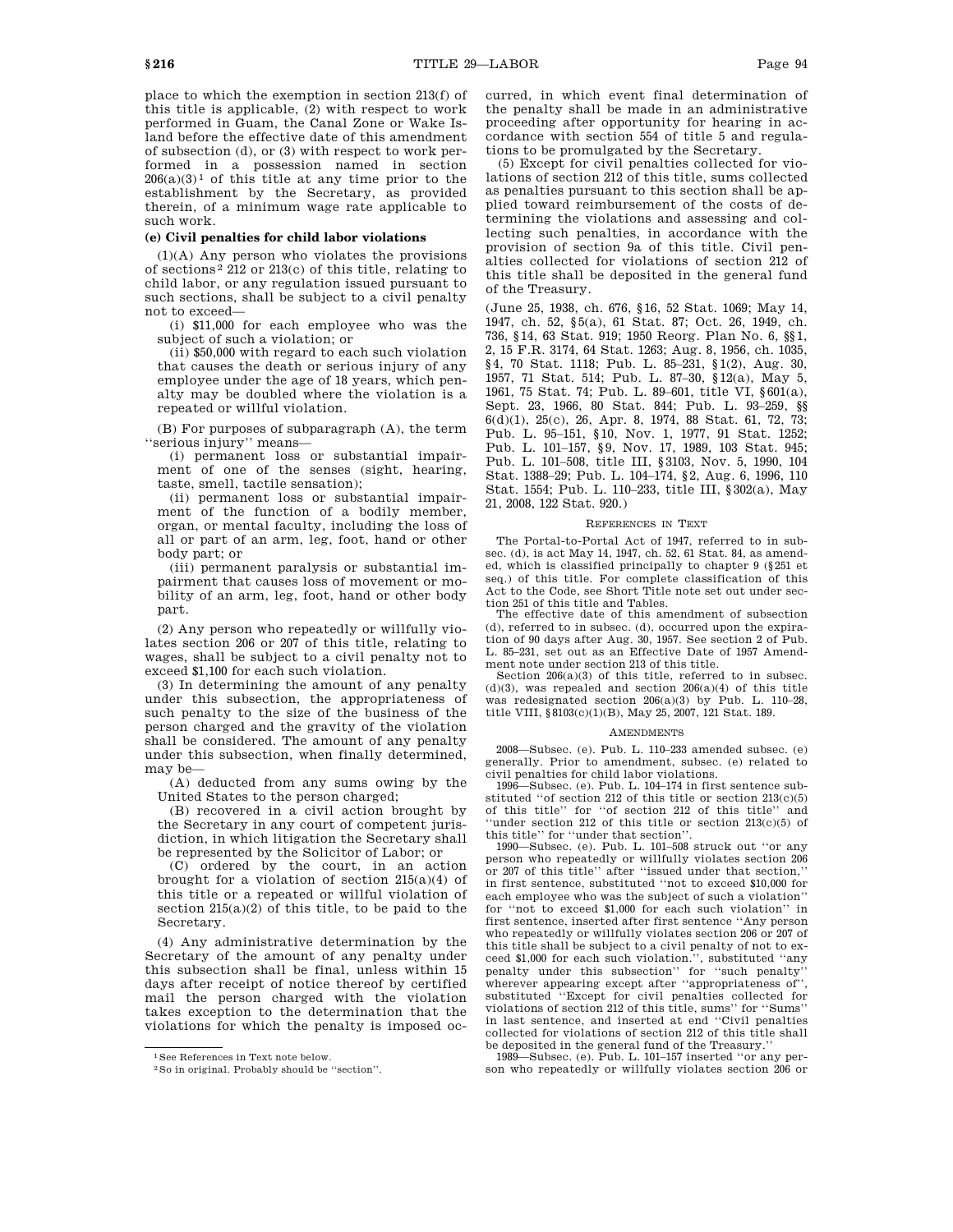place to which the exemption in section 213(f) of this title is applicable, (2) with respect to work performed in Guam, the Canal Zone or Wake Island before the effective date of this amendment of subsection (d), or (3) with respect to work performed in a possession named in section  $206(a)(3)^1$  of this title at any time prior to the establishment by the Secretary, as provided therein, of a minimum wage rate applicable to such work.

# **(e) Civil penalties for child labor violations**

(1)(A) Any person who violates the provisions of sections 2 212 or 213(c) of this title, relating to child labor, or any regulation issued pursuant to such sections, shall be subject to a civil penalty not to exceed—

(i) \$11,000 for each employee who was the subject of such a violation; or

(ii) \$50,000 with regard to each such violation that causes the death or serious injury of any employee under the age of 18 years, which penalty may be doubled where the violation is a repeated or willful violation.

(B) For purposes of subparagraph (A), the term ''serious injury'' means—

(i) permanent loss or substantial impairment of one of the senses (sight, hearing, taste, smell, tactile sensation);

(ii) permanent loss or substantial impairment of the function of a bodily member, organ, or mental faculty, including the loss of all or part of an arm, leg, foot, hand or other body part; or

(iii) permanent paralysis or substantial impairment that causes loss of movement or mobility of an arm, leg, foot, hand or other body part.

(2) Any person who repeatedly or willfully violates section 206 or 207 of this title, relating to wages, shall be subject to a civil penalty not to exceed \$1,100 for each such violation.

(3) In determining the amount of any penalty under this subsection, the appropriateness of such penalty to the size of the business of the person charged and the gravity of the violation shall be considered. The amount of any penalty under this subsection, when finally determined, may be—

(A) deducted from any sums owing by the United States to the person charged;

(B) recovered in a civil action brought by the Secretary in any court of competent jurisdiction, in which litigation the Secretary shall be represented by the Solicitor of Labor; or

(C) ordered by the court, in an action brought for a violation of section  $215(a)(4)$  of this title or a repeated or willful violation of section 215(a)(2) of this title, to be paid to the Secretary.

(4) Any administrative determination by the Secretary of the amount of any penalty under this subsection shall be final, unless within 15 days after receipt of notice thereof by certified mail the person charged with the violation takes exception to the determination that the violations for which the penalty is imposed occurred, in which event final determination of the penalty shall be made in an administrative proceeding after opportunity for hearing in accordance with section 554 of title 5 and regulations to be promulgated by the Secretary.

(5) Except for civil penalties collected for violations of section 212 of this title, sums collected as penalties pursuant to this section shall be applied toward reimbursement of the costs of determining the violations and assessing and collecting such penalties, in accordance with the provision of section 9a of this title. Civil penalties collected for violations of section 212 of this title shall be deposited in the general fund of the Treasury.

(June 25, 1938, ch. 676, §16, 52 Stat. 1069; May 14, 1947, ch. 52, §5(a), 61 Stat. 87; Oct. 26, 1949, ch. 736, §14, 63 Stat. 919; 1950 Reorg. Plan No. 6, §§1, 2, 15 F.R. 3174, 64 Stat. 1263; Aug. 8, 1956, ch. 1035, §4, 70 Stat. 1118; Pub. L. 85–231, §1(2), Aug. 30, 1957, 71 Stat. 514; Pub. L. 87–30, §12(a), May 5, 1961, 75 Stat. 74; Pub. L. 89–601, title VI, §601(a), Sept. 23, 1966, 80 Stat. 844; Pub. L. 93–259, §§ 6(d)(1), 25(c), 26, Apr. 8, 1974, 88 Stat. 61, 72, 73; Pub. L. 95–151, §10, Nov. 1, 1977, 91 Stat. 1252; Pub. L. 101–157, §9, Nov. 17, 1989, 103 Stat. 945; Pub. L. 101–508, title III, §3103, Nov. 5, 1990, 104 Stat. 1388–29; Pub. L. 104–174, §2, Aug. 6, 1996, 110 Stat. 1554; Pub. L. 110–233, title III, §302(a), May 21, 2008, 122 Stat. 920.)

## REFERENCES IN TEXT

The Portal-to-Portal Act of 1947, referred to in subsec. (d), is act May 14, 1947, ch. 52, 61 Stat. 84, as amended, which is classified principally to chapter 9 (§251 et seq.) of this title. For complete classification of this Act to the Code, see Short Title note set out under section 251 of this title and Tables.

The effective date of this amendment of subsection (d), referred to in subsec. (d), occurred upon the expiration of 90 days after Aug. 30, 1957. See section 2 of Pub. L. 85–231, set out as an Effective Date of 1957 Amendment note under section 213 of this title.

Section  $206(a)(3)$  of this title, referred to in subsec.  $(d)(3)$ , was repealed and section  $206(a)(4)$  of this title was redesignated section 206(a)(3) by Pub. L. 110–28, title VIII, §8103(c)(1)(B), May 25, 2007, 121 Stat. 189.

#### AMENDMENTS

2008—Subsec. (e). Pub. L. 110–233 amended subsec. (e) generally. Prior to amendment, subsec. (e) related to civil penalties for child labor violations.

1996—Subsec. (e). Pub. L. 104–174 in first sentence substituted ''of section 212 of this title or section 213(c)(5) of this title'' for ''of section 212 of this title'' and ''under section 212 of this title or section 213(c)(5) of this title'' for ''under that section''.

1990—Subsec. (e). Pub. L. 101–508 struck out ''or any person who repeatedly or willfully violates section 206 or 207 of this title'' after ''issued under that section,'' in first sentence, substituted ''not to exceed \$10,000 for each employee who was the subject of such a violation'' for ''not to exceed \$1,000 for each such violation'' in first sentence, inserted after first sentence ''Any person who repeatedly or willfully violates section 206 or 207 of this title shall be subject to a civil penalty of not to exceed \$1,000 for each such violation.'', substituted ''any penalty under this subsection'' for ''such penalty'' wherever appearing except after ''appropriateness of'', substituted ''Except for civil penalties collected for violations of section 212 of this title, sums'' for ''Sums'' in last sentence, and inserted at end ''Civil penalties collected for violations of section 212 of this title shall

be deposited in the general fund of the Treasury.'' 1989—Subsec. (e). Pub. L. 101–157 inserted ''or any person who repeatedly or willfully violates section 206 or

<sup>1</sup>See References in Text note below.

<sup>2</sup>So in original. Probably should be ''section''.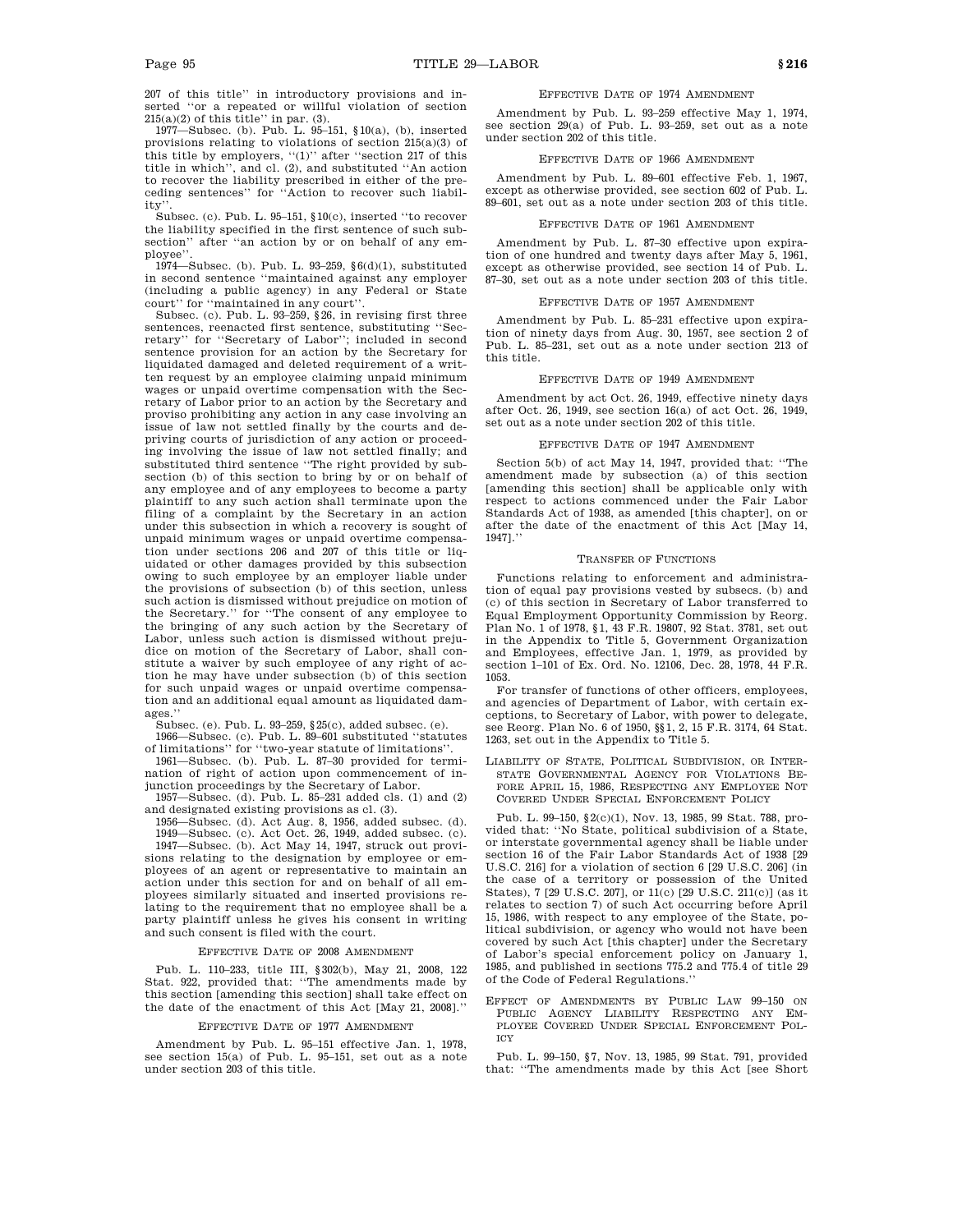207 of this title'' in introductory provisions and inserted ''or a repeated or willful violation of section  $215(a)(2)$  of this title'' in par. (3).

1977—Subsec. (b). Pub. L. 95–151, §10(a), (b), inserted provisions relating to violations of section 215(a)(3) of this title by employers, ''(1)'' after ''section 217 of this title in which'', and cl. (2), and substituted ''An action to recover the liability prescribed in either of the preceding sentences'' for ''Action to recover such liability'

Subsec. (c). Pub. L. 95–151, §10(c), inserted ''to recover the liability specified in the first sentence of such subsection'' after ''an action by or on behalf of any employee''.

1974—Subsec. (b). Pub. L. 93–259, §6(d)(1), substituted in second sentence ''maintained against any employer (including a public agency) in any Federal or State court" for "maintained in any court"

Subsec. (c). Pub. L. 93–259, §26, in revising first three sentences, reenacted first sentence, substituting ''Secretary'' for ''Secretary of Labor''; included in second sentence provision for an action by the Secretary for liquidated damaged and deleted requirement of a written request by an employee claiming unpaid minimum wages or unpaid overtime compensation with the Secretary of Labor prior to an action by the Secretary and proviso prohibiting any action in any case involving an issue of law not settled finally by the courts and depriving courts of jurisdiction of any action or proceeding involving the issue of law not settled finally; and substituted third sentence ''The right provided by subsection (b) of this section to bring by or on behalf of any employee and of any employees to become a party plaintiff to any such action shall terminate upon the filing of a complaint by the Secretary in an action under this subsection in which a recovery is sought of unpaid minimum wages or unpaid overtime compensation under sections 206 and 207 of this title or liquidated or other damages provided by this subsection owing to such employee by an employer liable under the provisions of subsection (b) of this section, unless such action is dismissed without prejudice on motion of the Secretary.'' for ''The consent of any employee to the bringing of any such action by the Secretary of Labor, unless such action is dismissed without prejudice on motion of the Secretary of Labor, shall constitute a waiver by such employee of any right of action he may have under subsection (b) of this section for such unpaid wages or unpaid overtime compensation and an additional equal amount as liquidated damages.''

Subsec. (e). Pub. L. 93–259, §25(c), added subsec. (e).

1966—Subsec. (c). Pub. L. 89–601 substituted ''statutes

of limitations'' for ''two-year statute of limitations''. 1961—Subsec. (b). Pub. L. 87–30 provided for termination of right of action upon commencement of in-

junction proceedings by the Secretary of Labor. 1957—Subsec. (d). Pub. L. 85–231 added cls. (1) and (2) and designated existing provisions as cl. (3).

1956—Subsec. (d). Act Aug. 8, 1956, added subsec. (d). 1949—Subsec. (c). Act Oct. 26, 1949, added subsec. (c).

1947—Subsec. (b). Act May 14, 1947, struck out provi-

sions relating to the designation by employee or employees of an agent or representative to maintain an action under this section for and on behalf of all employees similarly situated and inserted provisions relating to the requirement that no employee shall be a party plaintiff unless he gives his consent in writing and such consent is filed with the court.

## EFFECTIVE DATE OF 2008 AMENDMENT

Pub. L. 110–233, title III, §302(b), May 21, 2008, 122 Stat. 922, provided that: ''The amendments made by this section [amending this section] shall take effect on the date of the enactment of this Act [May 21, 2008].''

#### EFFECTIVE DATE OF 1977 AMENDMENT

Amendment by Pub. L. 95–151 effective Jan. 1, 1978, see section 15(a) of Pub. L. 95–151, set out as a note under section 203 of this title.

## EFFECTIVE DATE OF 1974 AMENDMENT

Amendment by Pub. L. 93–259 effective May 1, 1974, see section 29(a) of Pub. L. 93–259, set out as a note under section 202 of this title.

#### EFFECTIVE DATE OF 1966 AMENDMENT

Amendment by Pub. L. 89–601 effective Feb. 1, 1967, except as otherwise provided, see section 602 of Pub. L. 89–601, set out as a note under section 203 of this title.

#### EFFECTIVE DATE OF 1961 AMENDMENT

Amendment by Pub. L. 87–30 effective upon expiration of one hundred and twenty days after May 5, 1961, except as otherwise provided, see section 14 of Pub. L. 87–30, set out as a note under section 203 of this title.

#### EFFECTIVE DATE OF 1957 AMENDMENT

Amendment by Pub. L. 85–231 effective upon expiration of ninety days from Aug. 30, 1957, see section 2 of Pub. L. 85–231, set out as a note under section 213 of this title.

#### EFFECTIVE DATE OF 1949 AMENDMENT

Amendment by act Oct. 26, 1949, effective ninety days after Oct. 26, 1949, see section 16(a) of act Oct. 26, 1949, set out as a note under section 202 of this title.

## EFFECTIVE DATE OF 1947 AMENDMENT

Section 5(b) of act May 14, 1947, provided that: ''The amendment made by subsection (a) of this section [amending this section] shall be applicable only with respect to actions commenced under the Fair Labor Standards Act of 1938, as amended [this chapter], on or after the date of the enactment of this Act [May 14, 1947].''

#### TRANSFER OF FUNCTIONS

Functions relating to enforcement and administration of equal pay provisions vested by subsecs. (b) and (c) of this section in Secretary of Labor transferred to Equal Employment Opportunity Commission by Reorg. Plan No. 1 of 1978, §1, 43 F.R. 19807, 92 Stat. 3781, set out in the Appendix to Title 5, Government Organization and Employees, effective Jan. 1, 1979, as provided by section 1–101 of Ex. Ord. No. 12106, Dec. 28, 1978, 44 F.R. 1053.

For transfer of functions of other officers, employees, and agencies of Department of Labor, with certain exceptions, to Secretary of Labor, with power to delegate, see Reorg. Plan No. 6 of 1950, §§1, 2, 15 F.R. 3174, 64 Stat. 1263, set out in the Appendix to Title 5.

LIABILITY OF STATE, POLITICAL SUBDIVISION, OR INTER-STATE GOVERNMENTAL AGENCY FOR VIOLATIONS BE-FORE APRIL 15, 1986, RESPECTING ANY EMPLOYEE NOT COVERED UNDER SPECIAL ENFORCEMENT POLICY

Pub. L. 99–150, §2(c)(1), Nov. 13, 1985, 99 Stat. 788, provided that: ''No State, political subdivision of a State, or interstate governmental agency shall be liable under section 16 of the Fair Labor Standards Act of 1938 [29 U.S.C. 216] for a violation of section 6 [29 U.S.C. 206] (in the case of a territory or possession of the United States), 7 [29 U.S.C. 207], or 11(c) [29 U.S.C. 211(c)] (as it relates to section 7) of such Act occurring before April 15, 1986, with respect to any employee of the State, political subdivision, or agency who would not have been covered by such Act [this chapter] under the Secretary of Labor's special enforcement policy on January 1, 1985, and published in sections 775.2 and 775.4 of title 29 of the Code of Federal Regulations.''

EFFECT OF AMENDMENTS BY PUBLIC LAW 99–150 ON PUBLIC AGENCY LIABILITY RESPECTING ANY EM-PLOYEE COVERED UNDER SPECIAL ENFORCEMENT POL-ICY

Pub. L. 99–150, §7, Nov. 13, 1985, 99 Stat. 791, provided that: ''The amendments made by this Act [see Short